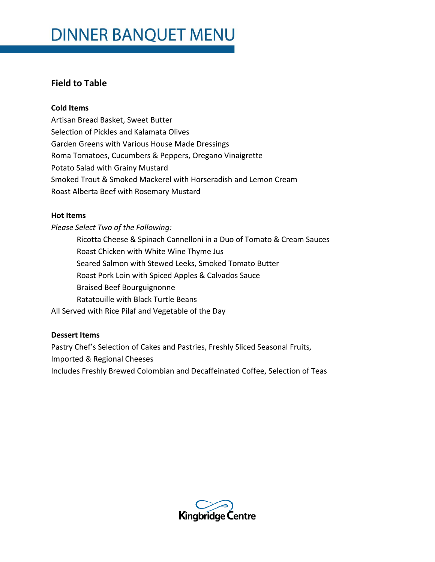## **Field to Table**

#### **Cold Items**

Artisan Bread Basket, Sweet Butter Selection of Pickles and Kalamata Olives Garden Greens with Various House Made Dressings Roma Tomatoes, Cucumbers & Peppers, Oregano Vinaigrette Potato Salad with Grainy Mustard Smoked Trout & Smoked Mackerel with Horseradish and Lemon Cream Roast Alberta Beef with Rosemary Mustard

#### **Hot Items**

*Please Select Two of the Following:* Ricotta Cheese & Spinach Cannelloni in a Duo of Tomato & Cream Sauces Roast Chicken with White Wine Thyme Jus Seared Salmon with Stewed Leeks, Smoked Tomato Butter Roast Pork Loin with Spiced Apples & Calvados Sauce Braised Beef Bourguignonne Ratatouille with Black Turtle Beans All Served with Rice Pilaf and Vegetable of the Day

## **Dessert Items**

Pastry Chef's Selection of Cakes and Pastries, Freshly Sliced Seasonal Fruits, Imported & Regional Cheeses Includes Freshly Brewed Colombian and Decaffeinated Coffee, Selection of Teas

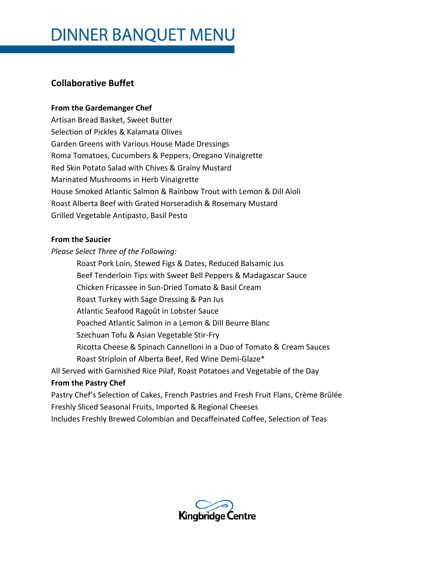# **Collaborative Buffet**

## **From the Gardemanger Chef**

Artisan Bread Basket, Sweet Butter Selection of Pickles & Kalamata Olives Garden Greens with Various House Made Dressings Roma Tomatoes, Cucumbers & Peppers, Oregano Vinaigrette Red Skin Potato Salad with Chives & Grainy Mustard Marinated Mushrooms in Herb Vinaigrette House Smoked Atlantic Salmon & Rainbow Trout with Lemon & Dill Aïoli Roast Alberta Beef with Grated Horseradish & Rosemary Mustard Grilled Vegetable Antipasto, Basil Pesto

## **From the Saucier**

*Please Select Three of the Following:*

Roast Pork Loin, Stewed Figs & Dates, Reduced Balsamic Jus Beef Tenderloin Tips with Sweet Bell Peppers & Madagascar Sauce Chicken Fricassee in Sun-Dried Tomato & Basil Cream Roast Turkey with Sage Dressing & Pan Jus Atlantic Seafood Ragoût in Lobster Sauce Poached Atlantic Salmon in a Lemon & Dill Beurre Blanc Szechuan Tofu & Asian Vegetable Stir-Fry Ricotta Cheese & Spinach Cannelloni in a Duo of Tomato & Cream Sauces Roast Striploin of Alberta Beef, Red Wine Demi-Glaze\* All Served with Garnished Rice Pilaf, Roast Potatoes and Vegetable of the Day

## **From the Pastry Chef**

Pastry Chef's Selection of Cakes, French Pastries and Fresh Fruit Flans, Crème Brûlée Freshly Sliced Seasonal Fruits, Imported & Regional Cheeses Includes Freshly Brewed Colombian and Decaffeinated Coffee, Selection of Teas

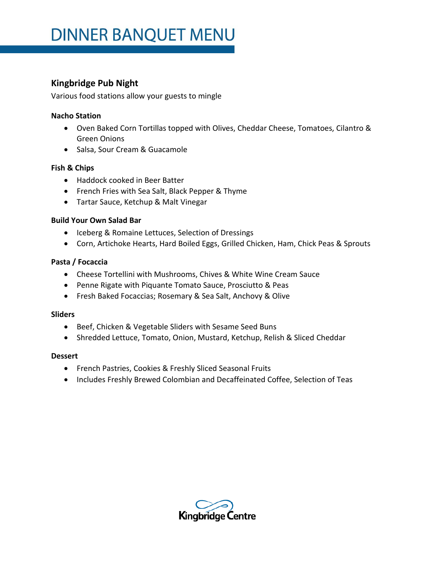# **Kingbridge Pub Night**

Various food stations allow your guests to mingle

#### **Nacho Station**

- Oven Baked Corn Tortillas topped with Olives, Cheddar Cheese, Tomatoes, Cilantro & Green Onions
- Salsa, Sour Cream & Guacamole

## **Fish & Chips**

- Haddock cooked in Beer Batter
- French Fries with Sea Salt, Black Pepper & Thyme
- Tartar Sauce, Ketchup & Malt Vinegar

#### **Build Your Own Salad Bar**

- Iceberg & Romaine Lettuces, Selection of Dressings
- Corn, Artichoke Hearts, Hard Boiled Eggs, Grilled Chicken, Ham, Chick Peas & Sprouts

#### **Pasta / Focaccia**

- Cheese Tortellini with Mushrooms, Chives & White Wine Cream Sauce
- Penne Rigate with Piquante Tomato Sauce, Prosciutto & Peas
- Fresh Baked Focaccias; Rosemary & Sea Salt, Anchovy & Olive

#### **Sliders**

- Beef, Chicken & Vegetable Sliders with Sesame Seed Buns
- Shredded Lettuce, Tomato, Onion, Mustard, Ketchup, Relish & Sliced Cheddar

#### **Dessert**

- French Pastries, Cookies & Freshly Sliced Seasonal Fruits
- Includes Freshly Brewed Colombian and Decaffeinated Coffee, Selection of Teas

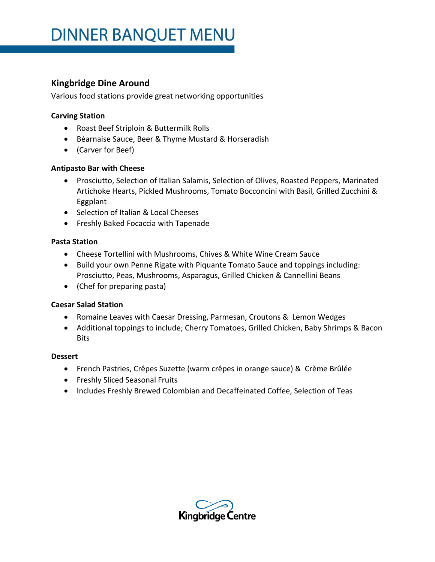## **Kingbridge Dine Around**

Various food stations provide great networking opportunities

## **Carving Station**

- Roast Beef Striploin & Buttermilk Rolls
- Béarnaise Sauce, Beer & Thyme Mustard & Horseradish
- (Carver for Beef)

## **Antipasto Bar with Cheese**

- Prosciutto, Selection of Italian Salamis, Selection of Olives, Roasted Peppers, Marinated Artichoke Hearts, Pickled Mushrooms, Tomato Bocconcini with Basil, Grilled Zucchini & Eggplant
- Selection of Italian & Local Cheeses
- **•** Freshly Baked Focaccia with Tapenade

## **Pasta Station**

- Cheese Tortellini with Mushrooms, Chives & White Wine Cream Sauce
- Build your own Penne Rigate with Piquante Tomato Sauce and toppings including: Prosciutto, Peas, Mushrooms, Asparagus, Grilled Chicken & Cannellini Beans
- (Chef for preparing pasta)

## **Caesar Salad Station**

- Romaine Leaves with Caesar Dressing, Parmesan, Croutons & Lemon Wedges
- Additional toppings to include; Cherry Tomatoes, Grilled Chicken, Baby Shrimps & Bacon Bits

## **Dessert**

- French Pastries, Crêpes Suzette (warm crêpes in orange sauce) & Crème Brûlée
- Freshly Sliced Seasonal Fruits
- Includes Freshly Brewed Colombian and Decaffeinated Coffee, Selection of Teas

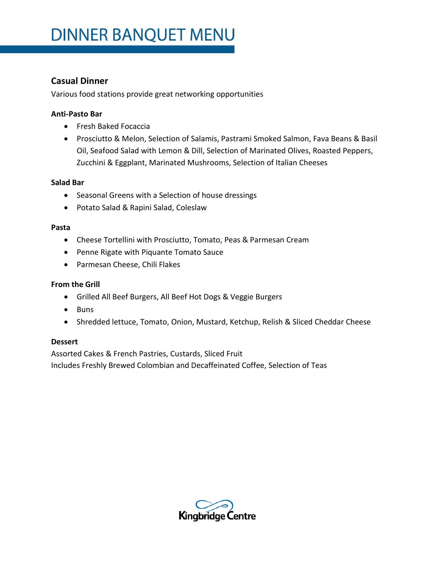## **Casual Dinner**

Various food stations provide great networking opportunities

#### **Anti-Pasto Bar**

- Fresh Baked Focaccia
- Prosciutto & Melon, Selection of Salamis, Pastrami Smoked Salmon, Fava Beans & Basil Oil, Seafood Salad with Lemon & Dill, Selection of Marinated Olives, Roasted Peppers, Zucchini & Eggplant, Marinated Mushrooms, Selection of Italian Cheeses

#### **Salad Bar**

- Seasonal Greens with a Selection of house dressings
- Potato Salad & Rapini Salad, Coleslaw

#### **Pasta**

- Cheese Tortellini with Prosciutto, Tomato, Peas & Parmesan Cream
- Penne Rigate with Piquante Tomato Sauce
- Parmesan Cheese, Chili Flakes

#### **From the Grill**

- Grilled All Beef Burgers, All Beef Hot Dogs & Veggie Burgers
- Buns
- Shredded lettuce, Tomato, Onion, Mustard, Ketchup, Relish & Sliced Cheddar Cheese

#### **Dessert**

Assorted Cakes & French Pastries, Custards, Sliced Fruit Includes Freshly Brewed Colombian and Decaffeinated Coffee, Selection of Teas

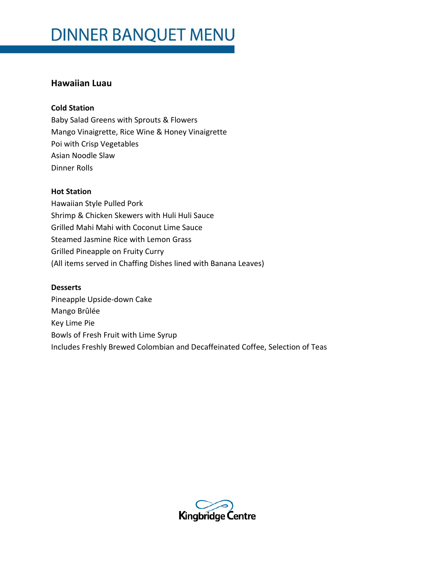## **Hawaiian Luau**

#### **Cold Station**

Baby Salad Greens with Sprouts & Flowers Mango Vinaigrette, Rice Wine & Honey Vinaigrette Poi with Crisp Vegetables Asian Noodle Slaw Dinner Rolls

#### **Hot Station**

Hawaiian Style Pulled Pork Shrimp & Chicken Skewers with Huli Huli Sauce Grilled Mahi Mahi with Coconut Lime Sauce Steamed Jasmine Rice with Lemon Grass Grilled Pineapple on Fruity Curry (All items served in Chaffing Dishes lined with Banana Leaves)

#### **Desserts**

Pineapple Upside-down Cake Mango Brûlée Key Lime Pie Bowls of Fresh Fruit with Lime Syrup Includes Freshly Brewed Colombian and Decaffeinated Coffee, Selection of Teas